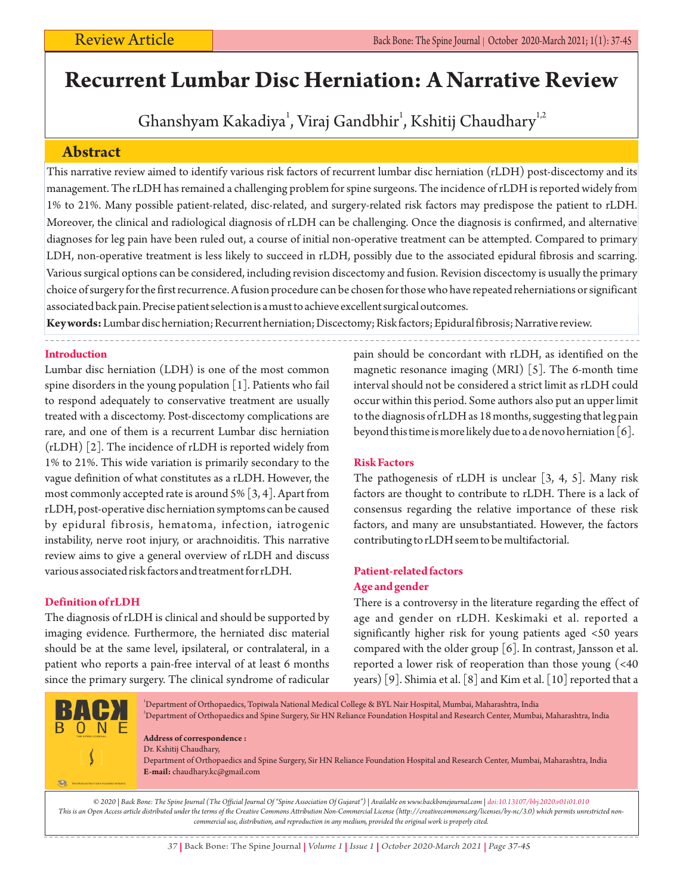# **Recurrent Lumbar Disc Herniation: A Narrative Review**

Ghanshyam Kakadiya<sup>1</sup>, Viraj Gandbhir<sup>1</sup>, Kshitij Chaudhary<sup>1,2</sup>

# **Abstract**

This narrative review aimed to identify various risk factors of recurrent lumbar disc herniation (rLDH) post-discectomy and its management. The rLDH has remained a challenging problem for spine surgeons. The incidence of rLDH is reported widely from 1% to 21%. Many possible patient-related, disc-related, and surgery-related risk factors may predispose the patient to rLDH. Moreover, the clinical and radiological diagnosis of rLDH can be challenging. Once the diagnosis is confirmed, and alternative diagnoses for leg pain have been ruled out, a course of initial non-operative treatment can be attempted. Compared to primary LDH, non-operative treatment is less likely to succeed in rLDH, possibly due to the associated epidural fibrosis and scarring. Various surgical options can be considered, including revision discectomy and fusion. Revision discectomy is usually the primary choice of surgery for the first recurrence. A fusion procedure can be chosen for those who have repeated reherniations or significant associated back pain. Precise patient selection is a must to achieve excellent surgical outcomes.

**Key words:**Lumbar disc herniation; Recurrent herniation; Discectomy; Risk factors; Epidural fibrosis; Narrative review.

**Introduction**

Lumbar disc herniation (LDH) is one of the most common spine disorders in the young population [1]. Patients who fail to respond adequately to conservative treatment are usually treated with a discectomy. Post-discectomy complications are rare, and one of them is a recurrent Lumbar disc herniation (rLDH) [2]. The incidence of rLDH is reported widely from 1% to 21%. This wide variation is primarily secondary to the vague definition of what constitutes as a rLDH. However, the most commonly accepted rate is around 5% [3, 4]. Apart from rLDH, post-operative disc herniation symptoms can be caused by epidural fibrosis, hematoma, infection, iatrogenic instability, nerve root injury, or arachnoiditis. This narrative review aims to give a general overview of rLDH and discuss various associated risk factors and treatment for rLDH.

# **Definition of rLDH**

The diagnosis of rLDH is clinical and should be supported by imaging evidence. Furthermore, the herniated disc material should be at the same level, ipsilateral, or contralateral, in a patient who reports a pain-free interval of at least 6 months since the primary surgery. The clinical syndrome of radicular pain should be concordant with rLDH, as identified on the magnetic resonance imaging (MRI) [5]. The 6-month time interval should not be considered a strict limit as rLDH could occur within this period. Some authors also put an upper limit to the diagnosis of rLDH as 18 months, suggesting that leg pain beyond this time is more likely due to a de novo herniation [6].

# **Risk Factors**

The pathogenesis of rLDH is unclear [3, 4, 5]. Many risk factors are thought to contribute to rLDH. There is a lack of consensus regarding the relative importance of these risk factors, and many are unsubstantiated. However, the factors contributing to rLDH seem to be multifactorial.

# **Patient-related factors Age and gender**

There is a controversy in the literature regarding the effect of age and gender on rLDH. Keskimaki et al. reported a significantly higher risk for young patients aged <50 years compared with the older group [6]. In contrast, Jansson et al. reported a lower risk of reoperation than those young (<40 years) [9]. Shimia et al. [8] and Kim et al. [10] reported that a

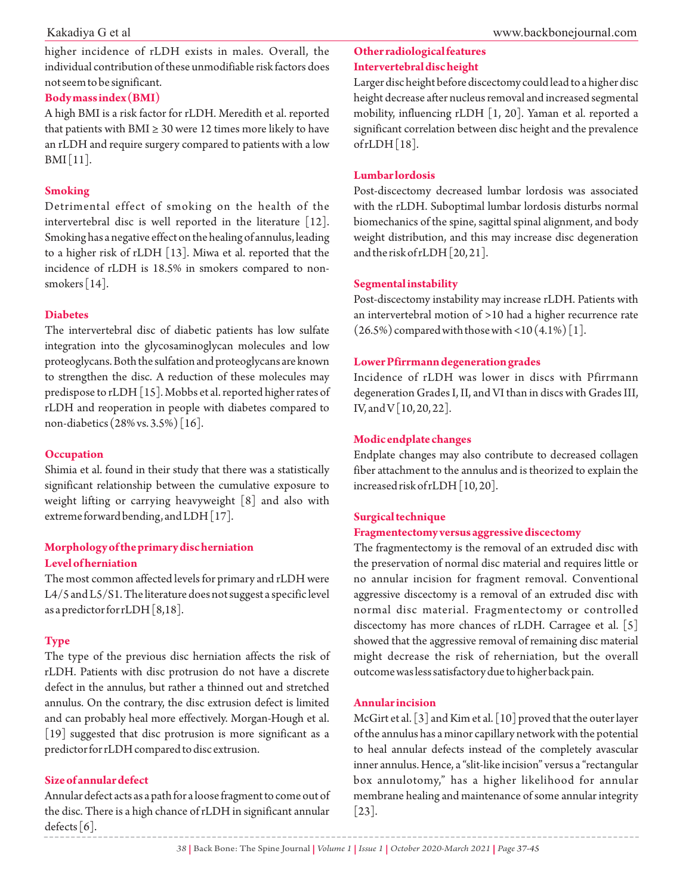higher incidence of rLDH exists in males. Overall, the individual contribution of these unmodifiable risk factors does not seem to be significant.

# **Body mass index (BMI)**

A high BMI is a risk factor for rLDH. Meredith et al. reported that patients with BMI  $\geq$  30 were 12 times more likely to have an rLDH and require surgery compared to patients with a low BMI [11].

### **Smoking**

Detrimental effect of smoking on the health of the intervertebral disc is well reported in the literature [12]. Smoking has a negative effect on the healing of annulus, leading to a higher risk of rLDH [13]. Miwa et al. reported that the incidence of rLDH is 18.5% in smokers compared to nonsmokers [14].

# **Diabetes**

The intervertebral disc of diabetic patients has low sulfate integration into the glycosaminoglycan molecules and low proteoglycans. Both the sulfation and proteoglycans are known to strengthen the disc. A reduction of these molecules may predispose to rLDH [15]. Mobbs et al. reported higher rates of rLDH and reoperation in people with diabetes compared to non-diabetics (28% vs. 3.5%) [16].

# **Occupation**

Shimia et al. found in their study that there was a statistically significant relationship between the cumulative exposure to weight lifting or carrying heavyweight [8] and also with extreme forward bending, and LDH [17].

# **Morphology of the primary disc herniation Level of herniation**

The most common affected levels for primary and rLDH were L4/5 and L5/S1. The literature does not suggest a specific level as a predictor for rLDH [8,18].

# **Type**

The type of the previous disc herniation affects the risk of rLDH. Patients with disc protrusion do not have a discrete defect in the annulus, but rather a thinned out and stretched annulus. On the contrary, the disc extrusion defect is limited and can probably heal more effectively. Morgan-Hough et al. [19] suggested that disc protrusion is more significant as a predictor for rLDH compared to disc extrusion.

### **Size of annular defect**

Annular defect acts as a path for a loose fragment to come out of the disc. There is a high chance of rLDH in significant annular defects  $[6]$ .

# **Other radiological features Intervertebral disc height**

Larger disc height before discectomy could lead to a higher disc height decrease after nucleus removal and increased segmental mobility, influencing rLDH [1, 20]. Yaman et al. reported a significant correlation between disc height and the prevalence of  $rLDH[18]$ .

### **Lumbar lordosis**

Post-discectomy decreased lumbar lordosis was associated with the rLDH. Suboptimal lumbar lordosis disturbs normal biomechanics of the spine, sagittal spinal alignment, and body weight distribution, and this may increase disc degeneration and the risk of rLDH [20, 21].

### **Segmental instability**

Post-discectomy instability may increase rLDH. Patients with an intervertebral motion of >10 had a higher recurrence rate  $(26.5\%)$  compared with those with <10  $(4.1\%)$  [1].

### **Lower Pfirrmann degeneration grades**

Incidence of rLDH was lower in discs with Pfirrmann degeneration Grades I, II, and VI than in discs with Grades III, IV, and V [10, 20, 22].

# **Modic endplate changes**

Endplate changes may also contribute to decreased collagen fiber attachment to the annulus and is theorized to explain the increased risk of rLDH [10,20].

### **Surgical technique**

### **Fragmentectomy versus aggressive discectomy**

The fragmentectomy is the removal of an extruded disc with the preservation of normal disc material and requires little or no annular incision for fragment removal. Conventional aggressive discectomy is a removal of an extruded disc with normal disc material. Fragmentectomy or controlled discectomy has more chances of rLDH. Carragee et al. [5] showed that the aggressive removal of remaining disc material might decrease the risk of reherniation, but the overall outcome was less satisfactory due to higher back pain.

### **Annularincision**

McGirt et al. [3] and Kim et al. [10] proved that the outer layer of the annulus has a minor capillary network with the potential to heal annular defects instead of the completely avascular inner annulus. Hence, a "slit-like incision" versus a "rectangular box annulotomy," has a higher likelihood for annular membrane healing and maintenance of some annular integrity [23].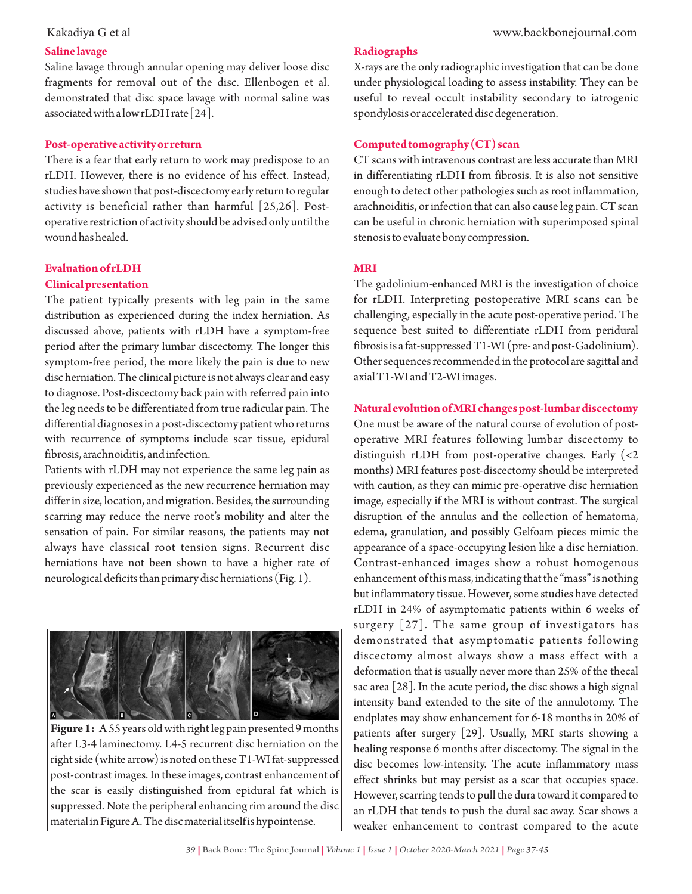# **Saline lavage**

Saline lavage through annular opening may deliver loose disc fragments for removal out of the disc. Ellenbogen et al. demonstrated that disc space lavage with normal saline was associated with a low rLDH rate [24].

### **Post-operative activity or return**

There is a fear that early return to work may predispose to an rLDH. However, there is no evidence of his effect. Instead, studies have shown that post-discectomy early return to regular activity is beneficial rather than harmful [25,26]. Postoperative restriction of activity should be advised only until the wound has healed.

# **Evaluation of rLDH Clinical presentation**

The patient typically presents with leg pain in the same distribution as experienced during the index herniation. As discussed above, patients with rLDH have a symptom-free period after the primary lumbar discectomy. The longer this symptom-free period, the more likely the pain is due to new disc herniation. The clinical picture is not always clear and easy to diagnose. Post-discectomy back pain with referred pain into the leg needs to be differentiated from true radicular pain. The differential diagnoses in a post-discectomy patient who returns with recurrence of symptoms include scar tissue, epidural fibrosis, arachnoiditis, and infection.

Patients with rLDH may not experience the same leg pain as previously experienced as the new recurrence herniation may differ in size, location, and migration. Besides, the surrounding scarring may reduce the nerve root's mobility and alter the sensation of pain. For similar reasons, the patients may not always have classical root tension signs. Recurrent disc herniations have not been shown to have a higher rate of neurological deficits than primary disc herniations (Fig. 1).



**Figure 1:** A 55 years old with right leg pain presented 9 months after L3-4 laminectomy. L4-5 recurrent disc herniation on the right side (white arrow) is noted on these T1-WI fat-suppressed post-contrast images. In these images, contrast enhancement of the scar is easily distinguished from epidural fat which is suppressed. Note the peripheral enhancing rim around the disc material in Figure A. The disc material itself is hypointense.

# **Radiographs**

X-rays are the only radiographic investigation that can be done under physiological loading to assess instability. They can be useful to reveal occult instability secondary to iatrogenic spondylosis or accelerated disc degeneration.

### **Computed tomography (CT) scan**

CT scans with intravenous contrast are less accurate than MRI in differentiating rLDH from fibrosis. It is also not sensitive enough to detect other pathologies such as root inflammation, arachnoiditis, or infection that can also cause leg pain. CT scan can be useful in chronic herniation with superimposed spinal stenosis to evaluate bony compression.

### **MRI**

The gadolinium-enhanced MRI is the investigation of choice for rLDH. Interpreting postoperative MRI scans can be challenging, especially in the acute post-operative period. The sequence best suited to differentiate rLDH from peridural fibrosis is a fat-suppressed T1-WI (pre- and post-Gadolinium). Other sequences recommended in the protocol are sagittal and axial T1-WI and T2-WI images.

# **Natural evolution of MRI changes post-lumbar discectomy**

One must be aware of the natural course of evolution of postoperative MRI features following lumbar discectomy to distinguish rLDH from post-operative changes. Early (<2 months) MRI features post-discectomy should be interpreted with caution, as they can mimic pre-operative disc herniation image, especially if the MRI is without contrast. The surgical disruption of the annulus and the collection of hematoma, edema, granulation, and possibly Gelfoam pieces mimic the appearance of a space-occupying lesion like a disc herniation. Contrast-enhanced images show a robust homogenous enhancement of this mass, indicating that the "mass" is nothing but inflammatory tissue. However, some studies have detected rLDH in 24% of asymptomatic patients within 6 weeks of surgery  $[27]$ . The same group of investigators has demonstrated that asymptomatic patients following discectomy almost always show a mass effect with a deformation that is usually never more than 25% of the thecal sac area [28]. In the acute period, the disc shows a high signal intensity band extended to the site of the annulotomy. The endplates may show enhancement for 6-18 months in 20% of patients after surgery [29]. Usually, MRI starts showing a healing response 6 months after discectomy. The signal in the disc becomes low-intensity. The acute inflammatory mass effect shrinks but may persist as a scar that occupies space. However, scarring tends to pull the dura toward it compared to an rLDH that tends to push the dural sac away. Scar shows a weaker enhancement to contrast compared to the acute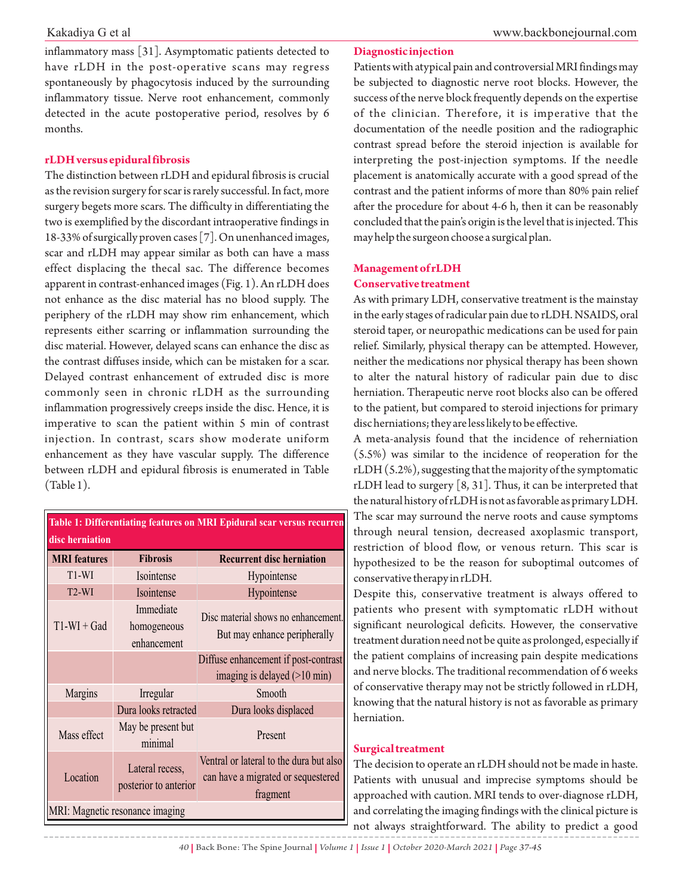inflammatory mass [31]. Asymptomatic patients detected to have rLDH in the post-operative scans may regress spontaneously by phagocytosis induced by the surrounding inflammatory tissue. Nerve root enhancement, commonly detected in the acute postoperative period, resolves by 6 months.

### **rLDH versus epidural fibrosis**

The distinction between rLDH and epidural fibrosis is crucial as the revision surgery for scar is rarely successful. In fact, more surgery begets more scars. The difficulty in differentiating the two is exemplified by the discordant intraoperative findings in 18-33% of surgically proven cases [7]. On unenhanced images, scar and rLDH may appear similar as both can have a mass effect displacing the thecal sac. The difference becomes apparent in contrast-enhanced images (Fig. 1). An rLDH does not enhance as the disc material has no blood supply. The periphery of the rLDH may show rim enhancement, which represents either scarring or inflammation surrounding the disc material. However, delayed scans can enhance the disc as the contrast diffuses inside, which can be mistaken for a scar. Delayed contrast enhancement of extruded disc is more commonly seen in chronic rLDH as the surrounding inflammation progressively creeps inside the disc. Hence, it is imperative to scan the patient within 5 min of contrast injection. In contrast, scars show moderate uniform enhancement as they have vascular supply. The difference between rLDH and epidural fibrosis is enumerated in Table (Table 1).

| Table 1: Differentiating features on MRI Epidural scar versus recurren |                                          |                                                                                           |  |  |
|------------------------------------------------------------------------|------------------------------------------|-------------------------------------------------------------------------------------------|--|--|
| disc herniation<br><b>MRI</b> features                                 | <b>Fibrosis</b>                          | <b>Recurrent disc herniation</b>                                                          |  |  |
| $T1-WI$                                                                | Isointense                               | Hypointense                                                                               |  |  |
| $T2-WI$                                                                | Isointense                               | Hypointense                                                                               |  |  |
| $T1-WI + Gad$                                                          | Immediate<br>homogeneous<br>enhancement  | Disc material shows no enhancement.<br>But may enhance peripherally                       |  |  |
|                                                                        |                                          | Diffuse enhancement if post-contrast<br>imaging is delayed $(>10$ min)                    |  |  |
| Margins                                                                | Irregular                                | Smooth                                                                                    |  |  |
|                                                                        | Dura looks retracted                     | Dura looks displaced                                                                      |  |  |
| Mass effect                                                            | May be present but<br>minimal            | Present                                                                                   |  |  |
| Location                                                               | Lateral recess,<br>posterior to anterior | Ventral or lateral to the dura but also<br>can have a migrated or sequestered<br>fragment |  |  |
| MRI: Magnetic resonance imaging                                        |                                          |                                                                                           |  |  |

### **Diagnostic injection**

Patients with atypical pain and controversial MRI findings may be subjected to diagnostic nerve root blocks. However, the success of the nerve block frequently depends on the expertise of the clinician. Therefore, it is imperative that the documentation of the needle position and the radiographic contrast spread before the steroid injection is available for interpreting the post-injection symptoms. If the needle placement is anatomically accurate with a good spread of the contrast and the patient informs of more than 80% pain relief after the procedure for about 4-6 h, then it can be reasonably concluded that the pain's origin is the level that is injected. This may help the surgeon choose a surgical plan.

### **Management of rLDH**

### **Conservative treatment**

As with primary LDH, conservative treatment is the mainstay in the early stages of radicular pain due to rLDH. NSAIDS, oral steroid taper, or neuropathic medications can be used for pain relief. Similarly, physical therapy can be attempted. However, neither the medications nor physical therapy has been shown to alter the natural history of radicular pain due to disc herniation. Therapeutic nerve root blocks also can be offered to the patient, but compared to steroid injections for primary disc herniations; they are less likely to be effective.

A meta-analysis found that the incidence of reherniation (5.5%) was similar to the incidence of reoperation for the rLDH (5.2%), suggesting that the majority of the symptomatic rLDH lead to surgery [8, 31]. Thus, it can be interpreted that the natural history of rLDH is not as favorable as primary LDH. The scar may surround the nerve roots and cause symptoms through neural tension, decreased axoplasmic transport, restriction of blood flow, or venous return. This scar is hypothesized to be the reason for suboptimal outcomes of conservative therapy in rLDH.

Despite this, conservative treatment is always offered to patients who present with symptomatic rLDH without significant neurological deficits. However, the conservative treatment duration need not be quite as prolonged, especially if the patient complains of increasing pain despite medications and nerve blocks. The traditional recommendation of 6 weeks of conservative therapy may not be strictly followed in rLDH, knowing that the natural history is not as favorable as primary herniation.

# **Surgical treatment**

The decision to operate an rLDH should not be made in haste. Patients with unusual and imprecise symptoms should be approached with caution. MRI tends to over-diagnose rLDH, and correlating the imaging findings with the clinical picture is not always straightforward. The ability to predict a good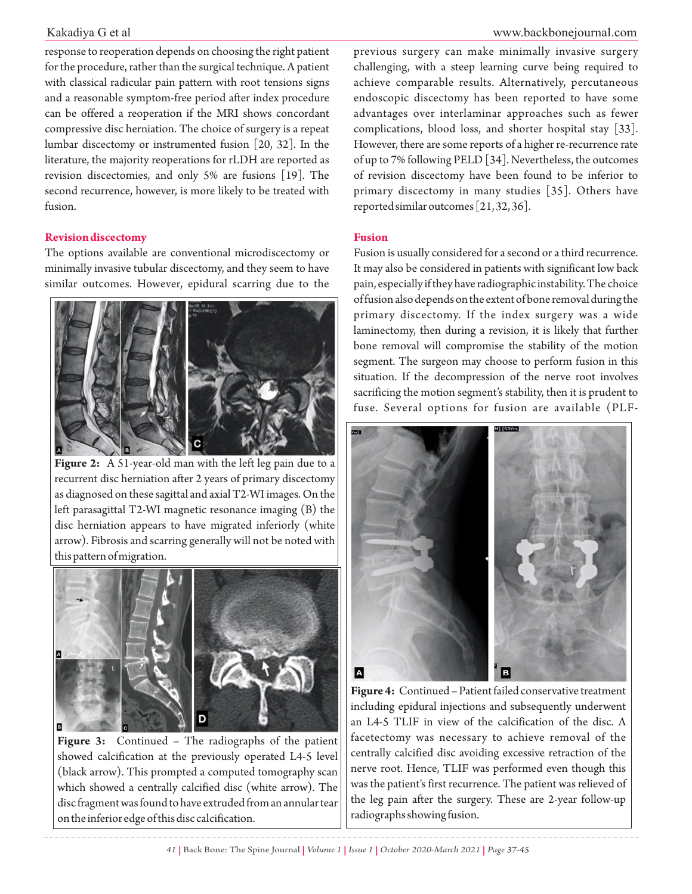response to reoperation depends on choosing the right patient for the procedure, rather than the surgical technique. A patient with classical radicular pain pattern with root tensions signs and a reasonable symptom-free period after index procedure can be offered a reoperation if the MRI shows concordant compressive disc herniation. The choice of surgery is a repeat lumbar discectomy or instrumented fusion [20, 32]. In the literature, the majority reoperations for rLDH are reported as revision discectomies, and only 5% are fusions [19]. The second recurrence, however, is more likely to be treated with fusion.

# **Revision discectomy**

The options available are conventional microdiscectomy or minimally invasive tubular discectomy, and they seem to have similar outcomes. However, epidural scarring due to the



**Figure 2:** A 51-year-old man with the left leg pain due to a recurrent disc herniation after 2 years of primary discectomy as diagnosed on these sagittal and axial T2-WI images. On the left parasagittal T2-WI magnetic resonance imaging (B) the disc herniation appears to have migrated inferiorly (white arrow). Fibrosis and scarring generally will not be noted with this pattern of migration.



**Figure 3:** Continued – The radiographs of the patient showed calcification at the previously operated L4-5 level (black arrow). This prompted a computed tomography scan which showed a centrally calcified disc (white arrow). The disc fragment was found to have extruded from an annular tear on the inferior edge of this disc calcification.

previous surgery can make minimally invasive surgery challenging, with a steep learning curve being required to achieve comparable results. Alternatively, percutaneous endoscopic discectomy has been reported to have some advantages over interlaminar approaches such as fewer complications, blood loss, and shorter hospital stay [33]. However, there are some reports of a higher re-recurrence rate of up to 7% following PELD [34]. Nevertheless, the outcomes of revision discectomy have been found to be inferior to primary discectomy in many studies [35]. Others have reported similar outcomes [21, 32, 36].

### **Fusion**

Fusion is usually considered for a second or a third recurrence. It may also be considered in patients with significant low back pain, especially if they have radiographic instability. The choice of fusion also depends on the extent of bone removal during the primary discectomy. If the index surgery was a wide laminectomy, then during a revision, it is likely that further bone removal will compromise the stability of the motion segment. The surgeon may choose to perform fusion in this situation. If the decompression of the nerve root involves sacrificing the motion segment's stability, then it is prudent to fuse. Several options for fusion are available (PLF-



**Figure 4:** Continued – Patient failed conservative treatment including epidural injections and subsequently underwent an L4-5 TLIF in view of the calcification of the disc. A facetectomy was necessary to achieve removal of the centrally calcified disc avoiding excessive retraction of the nerve root. Hence, TLIF was performed even though this was the patient's first recurrence. The patient was relieved of the leg pain after the surgery. These are 2-year follow-up radiographs showing fusion.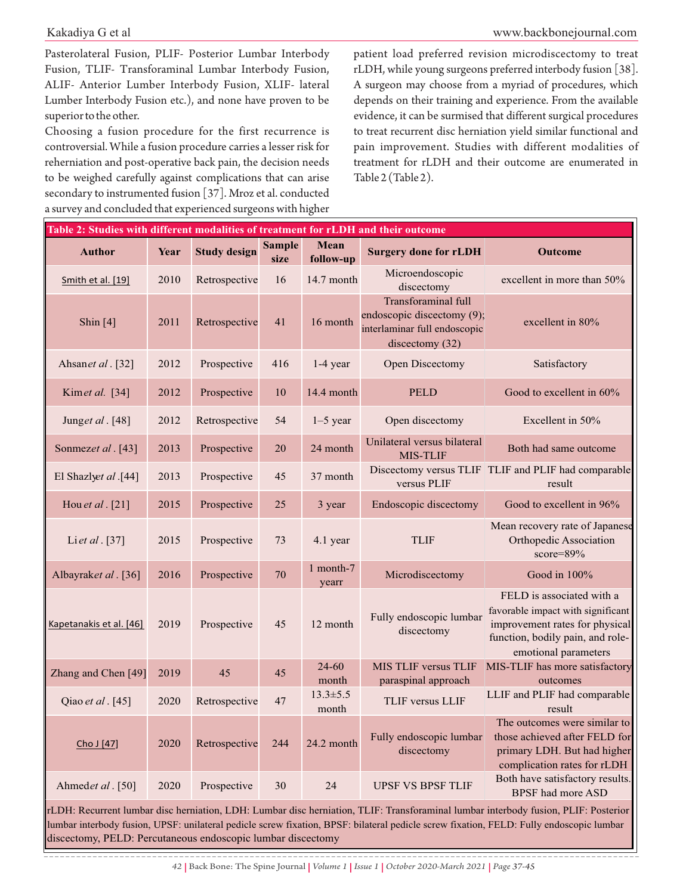Pasterolateral Fusion, PLIF- Posterior Lumbar Interbody Fusion, TLIF- Transforaminal Lumbar Interbody Fusion, ALIF- Anterior Lumber Interbody Fusion, XLIF- lateral Lumber Interbody Fusion etc.), and none have proven to be superior to the other.

Choosing a fusion procedure for the first recurrence is controversial. While a fusion procedure carries a lesser risk for reherniation and post-operative back pain, the decision needs to be weighed carefully against complications that can arise secondary to instrumented fusion [37]. Mroz et al. conducted a survey and concluded that experienced surgeons with higher

www.backbonejournal.com

patient load preferred revision microdiscectomy to treat rLDH, while young surgeons preferred interbody fusion [38]. A surgeon may choose from a myriad of procedures, which depends on their training and experience. From the available evidence, it can be surmised that different surgical procedures to treat recurrent disc herniation yield similar functional and pain improvement. Studies with different modalities of treatment for rLDH and their outcome are enumerated in Table 2 (Table 2).

| Table 2: Studies with different modalities of treatment for rLDH and their outcome |      |                     |                       |                         |                                                                                                             |                                                                                                                                                              |
|------------------------------------------------------------------------------------|------|---------------------|-----------------------|-------------------------|-------------------------------------------------------------------------------------------------------------|--------------------------------------------------------------------------------------------------------------------------------------------------------------|
| <b>Author</b>                                                                      | Year | <b>Study design</b> | <b>Sample</b><br>size | Mean<br>follow-up       | <b>Surgery done for rLDH</b>                                                                                | <b>Outcome</b>                                                                                                                                               |
| Smith et al. [19]                                                                  | 2010 | Retrospective       | 16                    | 14.7 month              | Microendoscopic<br>discectomy                                                                               | excellent in more than 50%                                                                                                                                   |
| Shin $[4]$                                                                         | 2011 | Retrospective       | 41                    | 16 month                | <b>Transforaminal</b> full<br>endoscopic discectomy (9);<br>interlaminar full endoscopic<br>discectomy (32) | excellent in $80\%$                                                                                                                                          |
| Ahsanet al. [32]                                                                   | 2012 | Prospective         | 416                   | $1-4$ year              | Open Discectomy                                                                                             | Satisfactory                                                                                                                                                 |
| Kimet al. [34]                                                                     | 2012 | Prospective         | 10                    | 14.4 month              | <b>PELD</b>                                                                                                 | Good to excellent in 60%                                                                                                                                     |
| Junget al. [48]                                                                    | 2012 | Retrospective       | 54                    | $1-5$ year              | Open discectomy                                                                                             | Excellent in 50%                                                                                                                                             |
| Sonmezet al. [43]                                                                  | 2013 | Prospective         | 20                    | 24 month                | Unilateral versus bilateral<br>MIS-TLIF                                                                     | Both had same outcome                                                                                                                                        |
| El Shazlyet al .[44]                                                               | 2013 | Prospective         | 45                    | 37 month                | versus PLIF                                                                                                 | Discectomy versus TLIF TLIF and PLIF had comparable<br>result                                                                                                |
| Hou et al. [21]                                                                    | 2015 | Prospective         | 25                    | 3 year                  | Endoscopic discectomy                                                                                       | Good to excellent in 96%                                                                                                                                     |
| Liet al. [37]                                                                      | 2015 | Prospective         | 73                    | 4.1 year                | <b>TLIF</b>                                                                                                 | Mean recovery rate of Japanese<br>Orthopedic Association<br>score=89%                                                                                        |
| Albayraket al. [36]                                                                | 2016 | Prospective         | 70                    | 1 month-7<br>yearr      | Microdiscectomy                                                                                             | Good in $100\%$                                                                                                                                              |
| Kapetanakis et al. [46]                                                            | 2019 | Prospective         | 45                    | 12 month                | Fully endoscopic lumbar<br>discectomy                                                                       | FELD is associated with a<br>favorable impact with significant<br>improvement rates for physical<br>function, bodily pain, and role-<br>emotional parameters |
| Zhang and Chen [49]                                                                | 2019 | 45                  | 45                    | $24 - 60$<br>month      | <b>MIS TLIF versus TLIF</b><br>paraspinal approach                                                          | MIS-TLIF has more satisfactory<br>outcomes                                                                                                                   |
| Qiao et al. [45]                                                                   | 2020 | Retrospective       | 47                    | $13.3 \pm 5.5$<br>month | TLIF versus LLIF                                                                                            | LLIF and PLIF had comparable<br>result                                                                                                                       |
| Cho J [47]                                                                         | 2020 | Retrospective       | 244                   | 24.2 month              | Fully endoscopic lumbar<br>discectomy                                                                       | The outcomes were similar to<br>those achieved after FELD for<br>primary LDH. But had higher<br>complication rates for rLDH                                  |
| Ahmedet al. [50]                                                                   | 2020 | Prospective         | 30                    | 24                      | <b>UPSF VS BPSF TLIF</b>                                                                                    | Both have satisfactory results.<br><b>BPSF</b> had more ASD                                                                                                  |

rLDH: Recurrent lumbar disc herniation, LDH: Lumbar disc herniation, TLIF: Transforaminal lumbar interbody fusion, PLIF: Posterior lumbar interbody fusion, UPSF: unilateral pedicle screw fixation, BPSF: bilateral pedicle screw fixation, FELD: Fully endoscopic lumbar discectomy, PELD: Percutaneous endoscopic lumbar discectomy

*42 |* Back Bone: The Spine Journal *| Volume 1 | Issue 1 | October 2020-March 2021 | Page 37-45*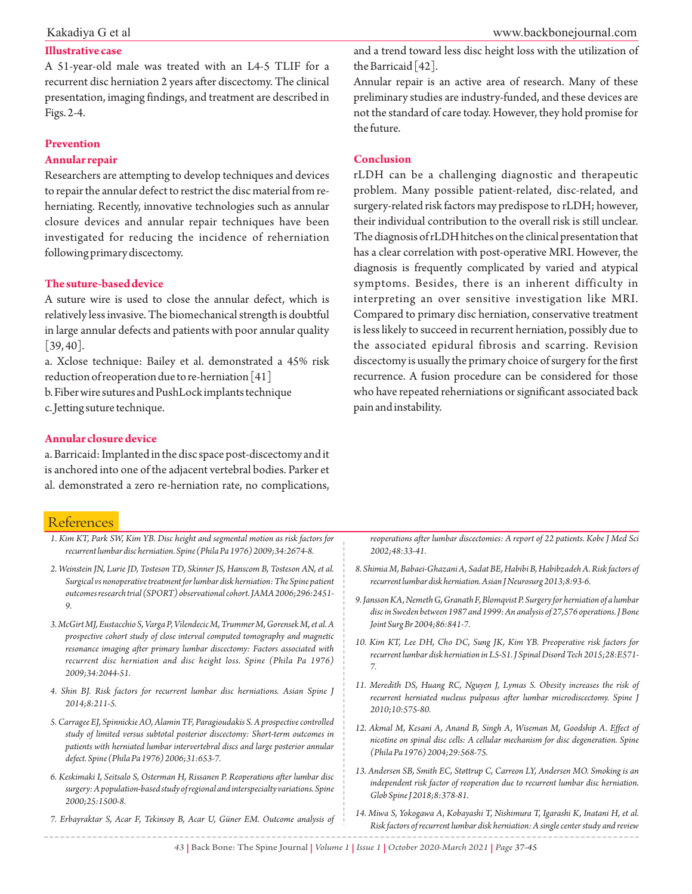### **Illustrative case**

A 51-year-old male was treated with an L4-5 TLIF for a recurrent disc herniation 2 years after discectomy. The clinical presentation, imaging findings, and treatment are described in Figs. 2-4.

### **Prevention**

### **Annular repair**

Researchers are attempting to develop techniques and devices to repair the annular defect to restrict the disc material from reherniating. Recently, innovative technologies such as annular closure devices and annular repair techniques have been investigated for reducing the incidence of reherniation following primary discectomy.

### **The suture-based device**

A suture wire is used to close the annular defect, which is relatively less invasive. The biomechanical strength is doubtful in large annular defects and patients with poor annular quality  $[39, 40]$ .

a. Xclose technique: Bailey et al. demonstrated a 45% risk reduction of reoperation due to re-herniation [41]

b. Fiber wire sutures and PushLock implants technique c. Jetting suture technique.

#### www.backbonejournal.com

and a trend toward less disc height loss with the utilization of the Barricaid [42].

Annular repair is an active area of research. Many of these preliminary studies are industry-funded, and these devices are not the standard of care today. However, they hold promise for the future.

### **Conclusion**

rLDH can be a challenging diagnostic and therapeutic problem. Many possible patient-related, disc-related, and surgery-related risk factors may predispose to rLDH; however, their individual contribution to the overall risk is still unclear. The diagnosis of rLDH hitches on the clinical presentation that has a clear correlation with post-operative MRI. However, the diagnosis is frequently complicated by varied and atypical symptoms. Besides, there is an inherent difficulty in interpreting an over sensitive investigation like MRI. Compared to primary disc herniation, conservative treatment is less likely to succeed in recurrent herniation, possibly due to the associated epidural fibrosis and scarring. Revision discectomy is usually the primary choice of surgery for the first recurrence. A fusion procedure can be considered for those who have repeated reherniations or significant associated back pain and instability.

### **Annular closure device**

a. Barricaid: Implanted in the disc space post-discectomy and it is anchored into one of the adjacent vertebral bodies. Parker et al. demonstrated a zero re-herniation rate, no complications,

# References

| 1. Kim KT, Park SW, Kim YB. Disc height and segmental motion as risk factors for                                                                                                                                                                                                                        | reoperations after lumbar discectomies: A report of 22 patients. Kobe J Med Sci                                                                                                                    |
|---------------------------------------------------------------------------------------------------------------------------------------------------------------------------------------------------------------------------------------------------------------------------------------------------------|----------------------------------------------------------------------------------------------------------------------------------------------------------------------------------------------------|
| recurrent lumbar disc herniation. Spine (Phila Pa 1976) 2009;34:2674-8.                                                                                                                                                                                                                                 | 2002;48:33-41.                                                                                                                                                                                     |
| 2. Weinstein JN, Lurie JD, Tosteson TD, Skinner JS, Hanscom B, Tosteson AN, et al.                                                                                                                                                                                                                      | 8. Shimia M, Babaei-Ghazani A, Sadat BE, Habibi B, Habibzadeh A. Risk factors of                                                                                                                   |
| Surgical vs nonoperative treatment for lumbar disk herniation: The Spine patient                                                                                                                                                                                                                        | recurrent lumbar disk herniation. Asian J Neurosurg 2013;8:93-6.                                                                                                                                   |
| outcomes research trial (SPORT) observational cohort. JAMA 2006;296:2451-                                                                                                                                                                                                                               | 9. Jansson KA, Nemeth G, Granath F, Blomqvist P. Surgery for herniation of a lumbar                                                                                                                |
| 9.                                                                                                                                                                                                                                                                                                      | disc in Sweden between 1987 and 1999: An analysis of 27,576 operations. J Bone                                                                                                                     |
| 3. McGirt MJ, Eustacchio S, Varga P, Vilendecic M, Trummer M, Gorensek M, et al. A                                                                                                                                                                                                                      | Joint Surg Br 2004;86:841-7.                                                                                                                                                                       |
| prospective cohort study of close interval computed tomography and magnetic<br>resonance imaging after primary lumbar discectomy: Factors associated with<br>recurrent disc herniation and disc height loss. Spine (Phila Pa 1976)<br>2009;34:2044-51.                                                  | 10. Kim KT, Lee DH, Cho DC, Sung JK, Kim YB. Preoperative risk factors for<br>recurrent lumbar disk herniation in L5-S1. J Spinal Disord Tech 2015;28:E571-                                        |
| 4. Shin BJ. Risk factors for recurrent lumbar disc herniations. Asian Spine J<br>2014;8:211-5.                                                                                                                                                                                                          | 11. Meredith DS, Huang RC, Nguyen J, Lymas S. Obesity increases the risk of<br>recurrent herniated nucleus pulposus after lumbar microdiscectomy. Spine J<br>2010;10:575-80.                       |
| 5. Carragee EJ, Spinnickie AO, Alamin TF, Paragioudakis S. A prospective controlled<br>study of limited versus subtotal posterior discectomy: Short-term outcomes in<br>patients with herniated lumbar intervertebral discs and large posterior annular<br>defect. Spine (Phila Pa 1976) 2006;31:653-7. | 12. Akmal M, Kesani A, Anand B, Singh A, Wiseman M, Goodship A. Effect of<br>nicotine on spinal disc cells: A cellular mechanism for disc degeneration. Spine<br>(Phila Pa 1976) 2004; 29: 568-75. |
| 6. Keskimaki I, Seitsalo S, Osterman H, Rissanen P. Reoperations after lumbar disc                                                                                                                                                                                                                      | 13. Andersen SB, Smith EC, Støttrup C, Carreon LY, Andersen MO. Smoking is an                                                                                                                      |
| surgery: A population-based study of regional and interspecialty variations. Spine                                                                                                                                                                                                                      | independent risk factor of reoperation due to recurrent lumbar disc herniation.                                                                                                                    |
| 2000;25:1500-8.                                                                                                                                                                                                                                                                                         | Glob Spine J 2018; 8:378-81.                                                                                                                                                                       |
| 7. Erbayraktar S, Acar F, Tekinsoy B, Acar U, Güner EM. Outcome analysis of                                                                                                                                                                                                                             | 14. Miwa S, Yokogawa A, Kobayashi T, Nishimura T, Igarashi K, Inatani H, et al.<br>Risk factors of recurrent lumbar disk herniation: A single center study and review                              |

*43 |* Back Bone: The Spine Journal *| Volume 1 | Issue 1 | October 2020-March 2021 | Page 37-45*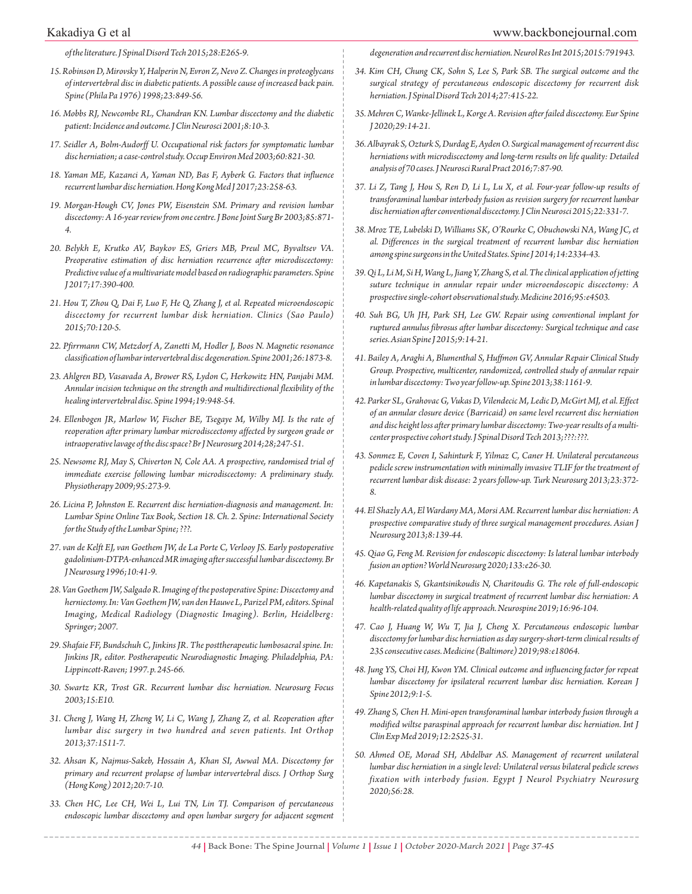*of the literature. J Spinal Disord Tech 2015;28:E265-9.*

- *15. Robinson D, Mirovsky Y, Halperin N, Evron Z, Nevo Z. Changes in proteoglycans of intervertebral disc in diabetic patients. A possible cause of increased back pain. Spine (Phila Pa 1976) 1998;23:849-56.*
- *16. Mobbs RJ, Newcombe RL, Chandran KN. Lumbar discectomy and the diabetic patient: Incidence and outcome. J Clin Neurosci 2001;8:10-3.*
- *17. Seidler A, Bolm-Audorff U. Occupational risk factors for symptomatic lumbar disc herniation; a case-control study. Occup Environ Med 2003;60:821-30.*
- *18. Yaman ME, Kazanci A, Yaman ND, Bas F, Ayberk G. Factors that influence recurrent lumbar disc herniation. Hong Kong Med J 2017;23:258-63.*
- *19. Morgan-Hough CV, Jones PW, Eisenstein SM. Primary and revision lumbar discectomy: A 16-year review from one centre. J Bone Joint Surg Br 2003;85:871- 4.*
- *20. Belykh E, Krutko AV, Baykov ES, Griers MB, Preul MC, Byvaltsev VA. Preoperative estimation of disc herniation recurrence after microdiscectomy: Predictive value of a multivariate model based on radiographic parameters. Spine J 2017;17:390-400.*
- *21. Hou T, Zhou Q, Dai F, Luo F, He Q, Zhang J, et al. Repeated microendoscopic discectomy for recurrent lumbar disk herniation. Clinics (Sao Paulo) 2015;70:120-5.*
- *22. Pfirrmann CW, Metzdorf A, Zanetti M, Hodler J, Boos N. Magnetic resonance classification of lumbar intervertebral disc degeneration. Spine 2001;26:1873-8.*
- *23. Ahlgren BD, Vasavada A, Brower RS, Lydon C, Herkowitz HN, Panjabi MM. Annular incision technique on the strength and multidirectional flexibility of the healing intervertebral disc. Spine 1994;19:948-54.*
- *24. Ellenbogen JR, Marlow W, Fischer BE, Tsegaye M, Wilby MJ. Is the rate of reoperation after primary lumbar microdiscectomy affected by surgeon grade or intraoperative lavage of the disc space? Br J Neurosurg 2014;28;247-51.*
- *25. Newsome RJ, May S, Chiverton N, Cole AA. A prospective, randomised trial of immediate exercise following lumbar microdiscectomy: A preliminary study. Physiotherapy 2009;95:273-9.*
- *26. Licina P, Johnston E. Recurrent disc herniation-diagnosis and management. In: Lumbar Spine Online Tax Book, Section 18. Ch. 2. Spine: International Society for the Study of the Lumbar Spine; ???.*
- *27. van de Kelft EJ, van Goethem JW, de La Porte C, Verlooy JS. Early postoperative gadolinium-DTPA-enhanced MR imaging after successful lumbar discectomy. Br J Neurosurg 1996;10:41-9.*
- *28. Van Goethem JW, Salgado R. Imaging of the postoperative Spine: Discectomy and herniectomy. In: Van Goethem JW, van den Hauwe L, Parizel PM, editors. Spinal Imaging, Medical Radiology (Diagnostic Imaging). Berlin, Heidelberg: Springer; 2007.*
- *29. Shafaie FF, Bundschuh C, Jinkins JR. The posttherapeutic lumbosacral spine. In: Jinkins JR, editor. Postherapeutic Neurodiagnostic Imaging. Philadelphia, PA: Lippincott-Raven; 1997. p. 245-66.*
- *30. Swartz KR, Trost GR. Recurrent lumbar disc herniation. Neurosurg Focus 2003;15:E10.*
- *31. Cheng J, Wang H, Zheng W, Li C, Wang J, Zhang Z, et al. Reoperation after lumbar disc surgery in two hundred and seven patients. Int Orthop 2013;37:1511-7.*
- *32. Ahsan K, Najmus-Sakeb, Hossain A, Khan SI, Awwal MA. Discectomy for primary and recurrent prolapse of lumbar intervertebral discs. J Orthop Surg (Hong Kong) 2012;20:7-10.*
- *33. Chen HC, Lee CH, Wei L, Lui TN, Lin TJ. Comparison of percutaneous endoscopic lumbar discectomy and open lumbar surgery for adjacent segment*

*degeneration and recurrent disc herniation. Neurol Res Int 2015;2015:791943.*

- *34. Kim CH, Chung CK, Sohn S, Lee S, Park SB. The surgical outcome and the surgical strategy of percutaneous endoscopic discectomy for recurrent disk herniation. J Spinal Disord Tech 2014;27:415-22.*
- *35. Mehren C, Wanke-Jellinek L, Korge A. Revision after failed discectomy. Eur Spine J 2020;29:14-21.*
- *36. Albayrak S, Ozturk S, Durdag E, Ayden O. Surgical management of recurrent disc herniations with microdiscectomy and long-term results on life quality: Detailed analysis of 70 cases. J Neurosci Rural Pract 2016;7:87-90.*
- *37. Li Z, Tang J, Hou S, Ren D, Li L, Lu X, et al. Four-year follow-up results of transforaminal lumbar interbody fusion as revision surgery for recurrent lumbar disc herniation after conventional discectomy. J Clin Neurosci 2015;22:331-7.*
- *38. Mroz TE, Lubelski D, Williams SK, O'Rourke C, Obuchowski NA, Wang JC, et al. Differences in the surgical treatment of recurrent lumbar disc herniation among spine surgeons in the United States. Spine J 2014;14:2334-43.*
- *39. Qi L, Li M, Si H, Wang L, Jiang Y, Zhang S, et al. The clinical application of jetting suture technique in annular repair under microendoscopic discectomy: A prospective single-cohort observational study. Medicine 2016;95:e4503.*
- *40. Suh BG, Uh JH, Park SH, Lee GW. Repair using conventional implant for ruptured annulus fibrosus after lumbar discectomy: Surgical technique and case series. Asian Spine J 2015;9:14-21.*
- *41. Bailey A, Araghi A, Blumenthal S, Huffmon GV, Annular Repair Clinical Study Group. Prospective, multicenter, randomized, controlled study of annular repair in lumbar discectomy: Two year follow-up. Spine 2013;38:1161-9.*
- *42. Parker SL, Grahovac G, Vukas D, Vilendecic M, Ledic D, McGirt MJ, et al. Effect of an annular closure device (Barricaid) on same level recurrent disc herniation and disc height loss after primary lumbar discectomy: Two-year results of a multicenter prospective cohort study. J Spinal Disord Tech 2013;???:???.*
- *43. Sonmez E, Coven I, Sahinturk F, Yilmaz C, Caner H. Unilateral percutaneous pedicle screw instrumentation with minimally invasive TLIF for the treatment of recurrent lumbar disk disease: 2 years follow-up. Turk Neurosurg 2013;23:372- 8.*
- *44. El Shazly AA, El Wardany MA, Morsi AM. Recurrent lumbar disc herniation: A prospective comparative study of three surgical management procedures. Asian J Neurosurg 2013;8:139-44.*
- *45. Qiao G, Feng M. Revision for endoscopic discectomy: Is lateral lumbar interbody fusion an option? World Neurosurg 2020;133:e26-30.*
- *46. Kapetanakis S, Gkantsinikoudis N, Charitoudis G. The role of full-endoscopic lumbar discectomy in surgical treatment of recurrent lumbar disc herniation: A health-related quality of life approach. Neurospine 2019;16:96-104.*
- *47. Cao J, Huang W, Wu T, Jia J, Cheng X. Percutaneous endoscopic lumbar discectomy for lumbar disc herniation as day surgery-short-term clinical results of 235 consecutive cases. Medicine (Baltimore) 2019;98:e18064.*
- *48. Jung YS, Choi HJ, Kwon YM. Clinical outcome and influencing factor for repeat lumbar discectomy for ipsilateral recurrent lumbar disc herniation. Korean J Spine 2012;9:1-5.*
- *49. Zhang S, Chen H. Mini-open transforaminal lumbar interbody fusion through a modified wiltse paraspinal approach for recurrent lumbar disc herniation. Int J Clin Exp Med 2019;12:2525-31.*
- *50. Ahmed OE, Morad SH, Abdelbar AS. Management of recurrent unilateral lumbar disc herniation in a single level: Unilateral versus bilateral pedicle screws fixation with interbody fusion. Egypt J Neurol Psychiatry Neurosurg 2020;56:28.*